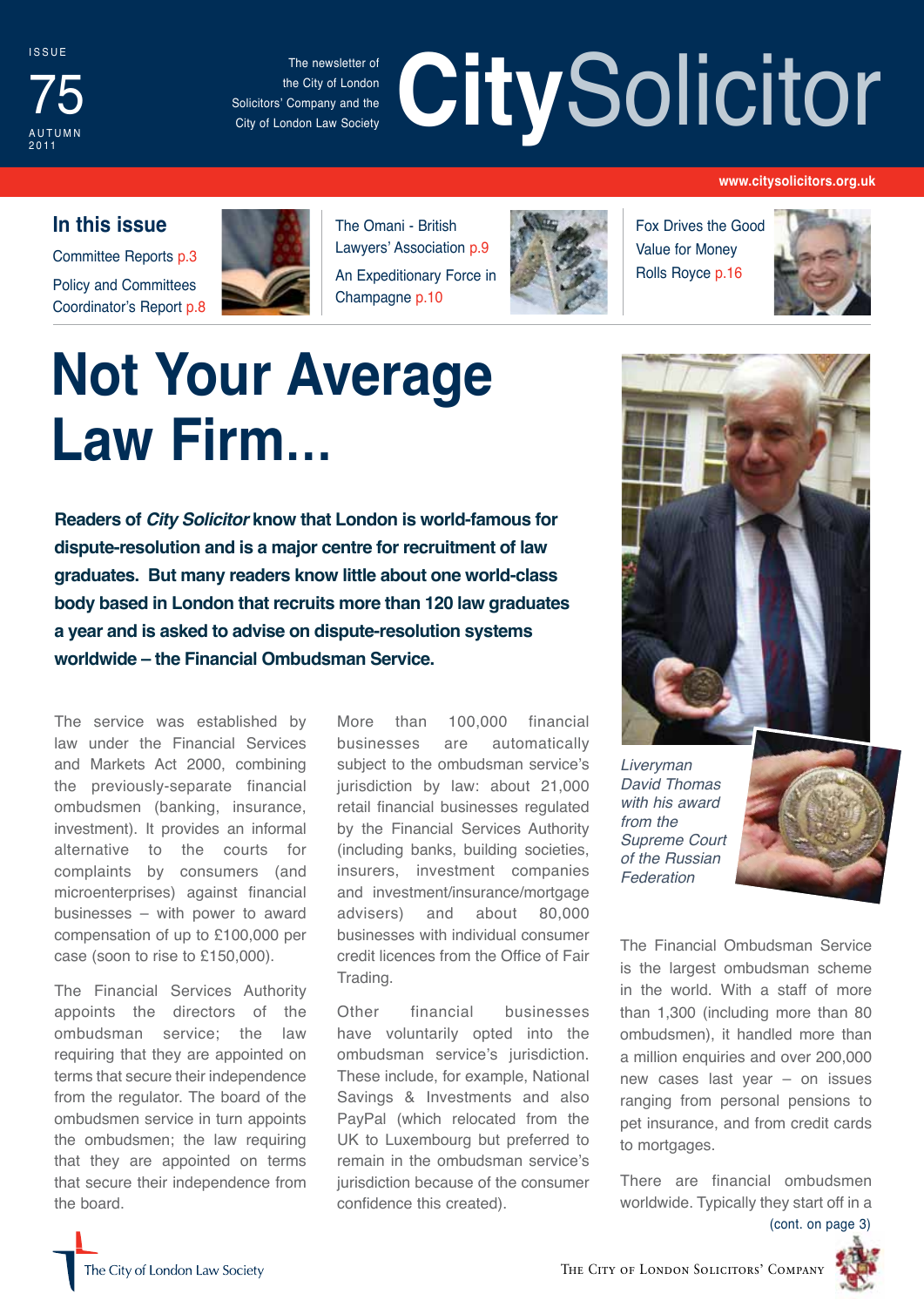

The newsletter of the City of London Solicitors' Company and the City of London Law Society

# The newsletter of the City of London<br>
Solicitors' Company and the **City of London Law Society**

#### **www.citysolicitors.org.uk**

#### **In this issue**

Committee Reports p.3 Policy and Committees Coordinator's Report p.8



The Omani - British Lawyers' Association p.9 An Expeditionary Force in Champagne p.10



Fox Drives the Good Value for Money Rolls Royce p.16



# **Not Your Average Law Firm…**

**Readers of** *City Solicitor* **know that London is world-famous for dispute-resolution and is a major centre for recruitment of law graduates. But many readers know little about one world-class body based in London that recruits more than 120 law graduates a year and is asked to advise on dispute-resolution systems worldwide – the Financial Ombudsman Service.**

The service was established by law under the Financial Services and Markets Act 2000, combining the previously-separate financial ombudsmen (banking, insurance, investment). It provides an informal alternative to the courts for complaints by consumers (and microenterprises) against financial businesses – with power to award compensation of up to £100,000 per case (soon to rise to £150,000).

The Financial Services Authority appoints the directors of the ombudsman service; the law requiring that they are appointed on terms that secure their independence from the regulator. The board of the ombudsmen service in turn appoints the ombudsmen; the law requiring that they are appointed on terms that secure their independence from the board.

More than 100,000 financial businesses are automatically subject to the ombudsman service's jurisdiction by law: about 21,000 retail financial businesses regulated by the Financial Services Authority (including banks, building societies, insurers, investment companies and investment/insurance/mortgage advisers) and about 80,000 businesses with individual consumer credit licences from the Office of Fair Trading.

Other financial businesses have voluntarily opted into the ombudsman service's jurisdiction. These include, for example, National Savings & Investments and also PayPal (which relocated from the UK to Luxembourg but preferred to remain in the ombudsman service's jurisdiction because of the consumer confidence this created).



*Liveryman David Thomas with his award from the Supreme Court of the Russian Federation*



The Financial Ombudsman Service is the largest ombudsman scheme in the world. With a staff of more than 1,300 (including more than 80 ombudsmen), it handled more than a million enquiries and over 200,000 new cases last year – on issues ranging from personal pensions to pet insurance, and from credit cards to mortgages.

There are financial ombudsmen worldwide. Typically they start off in a (cont. on page 3)

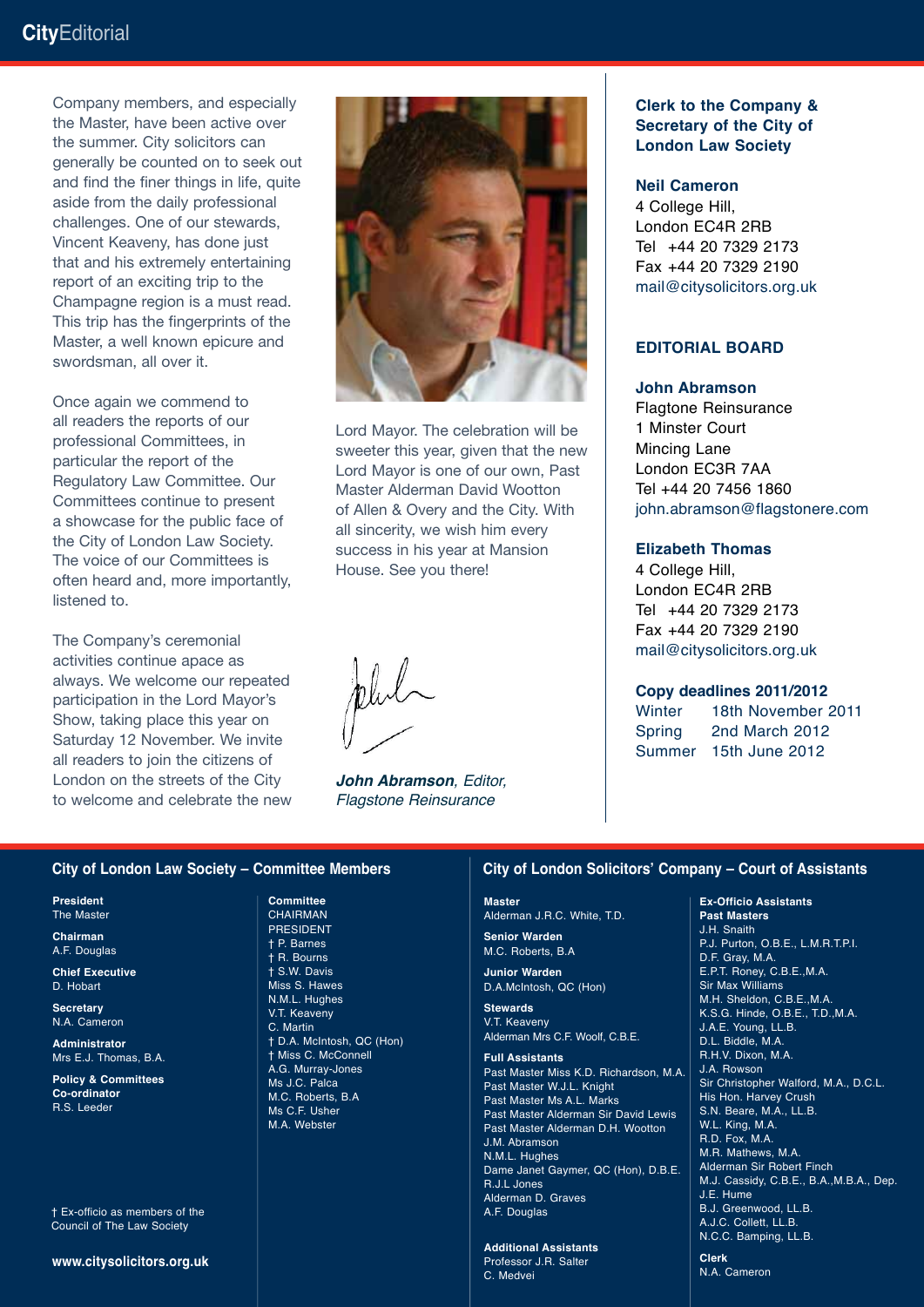#### **City**Editorial

Company members, and especially the Master, have been active over the summer. City solicitors can generally be counted on to seek out and find the finer things in life, quite aside from the daily professional challenges. One of our stewards, Vincent Keaveny, has done just that and his extremely entertaining report of an exciting trip to the Champagne region is a must read. This trip has the fingerprints of the Master, a well known epicure and swordsman, all over it.

Once again we commend to all readers the reports of our professional Committees, in particular the report of the Regulatory Law Committee. Our Committees continue to present a showcase for the public face of the City of London Law Society. The voice of our Committees is often heard and, more importantly, listened to.

The Company's ceremonial activities continue apace as always. We welcome our repeated participation in the Lord Mayor's Show, taking place this year on Saturday 12 November. We invite all readers to join the citizens of London on the streets of the City to welcome and celebrate the new



Lord Mayor. The celebration will be sweeter this year, given that the new Lord Mayor is one of our own, Past Master Alderman David Wootton of Allen & Overy and the City. With all sincerity, we wish him every success in his year at Mansion House. See you there!

*John Abramson, Editor, Flagstone Reinsurance*

#### **Clerk to the Company & Secretary of the City of London Law Society**

#### **Neil Cameron**

4 College Hill, London EC4R 2RB Tel +44 20 7329 2173 Fax +44 20 7329 2190 mail@citysolicitors.org.uk

#### **Editorial board**

#### **John Abramson**

Flagtone Reinsurance 1 Minster Court Mincing Lane London EC3R 7AA Tel +44 20 7456 1860 john.abramson@flagstonere.com

#### **Elizabeth Thomas**

4 College Hill, London EC4R 2RB Tel +44 20 7329 2173 Fax +44 20 7329 2190 mail@citysolicitors.org.uk

#### **Copy deadlines 2011/2012**

Winter 18th November 2011 Spring 2nd March 2012 Summer 15th June 2012

#### **City of London Law Society – Committee Members**

**President** The Master

**Chairman** A.F. Douglas

**Chief Executive** D. Hobart

**Secretary** N.A. Cameron

**Administrator** Mrs E.J. Thomas, B.A.

**Policy & Committees Co-ordinator** R.S. Leeder

† Ex-officio as members of the Council of The Law Society

**www.citysolicitors.org.uk**

**Committee CHAIRMAN** PRESIDENT † P. Barnes † R. Bourns † S.W. Davis Miss S. Hawes N.M.L. Hughes V.T. Keaveny C. Martin † D.A. McIntosh, QC (Hon) † Miss C. McConnell A.G. Murray-Jones Ms J.C. Palca M.C. Roberts, B.A Ms C.F. Usher M.A. Webster

#### **City of London Solicitors' Company – Court of Assistants**

#### **Master**

Alderman J.R.C. White, T.D.

**Senior Warden** M.C. Roberts, B.A

**Junior Warden** D.A.McIntosh, QC (Hon)

**Stewards** V.T. Keaveny Alderman Mrs C.F. Woolf, C.B.E.

**Full Assistants**

Past Master Miss K.D. Richardson, M.A. Past Master W.J.L. Knight Past Master Ms A.L. Marks Past Master Alderman Sir David Lewis Past Master Alderman D.H. Wootton J.M. Abramson N.M.L. Hughes Dame Janet Gaymer, QC (Hon), D.B.E. R.J.L Jones Alderman D. Graves A.F. Douglas

**Additional Assistants** Professor J.R. Salter C. Medvei

**Ex-Officio Assistants Past Masters**

J.H. Snaith P.J. Purton, O.B.E., L.M.R.T.P.I. D.F. Gray, M.A. E.P.T. Roney, C.B.E.,M.A. Sir Max Williams M.H. Sheldon, C.B.E.,M.A. K.S.G. Hinde, O.B.E., T.D.,M.A. J.A.E. Young, LL.B. D.L. Biddle, M.A. R.H.V. Dixon, M.A. J.A. Rowson Sir Christopher Walford, M.A., D.C.L. His Hon. Harvey Crush S.N. Beare, M.A., LL.B. W.L. King, M.A. R.D. Fox, M.A. M.R. Mathews, M.A. Alderman Sir Robert Finch M.J. Cassidy, C.B.E., B.A.,M.B.A., Dep. J.E. Hume B.J. Greenwood, LL.B. A.J.C. Collett, LL.B. N.C.C. Bamping, LL.B.

**Clerk** N.A. Cameron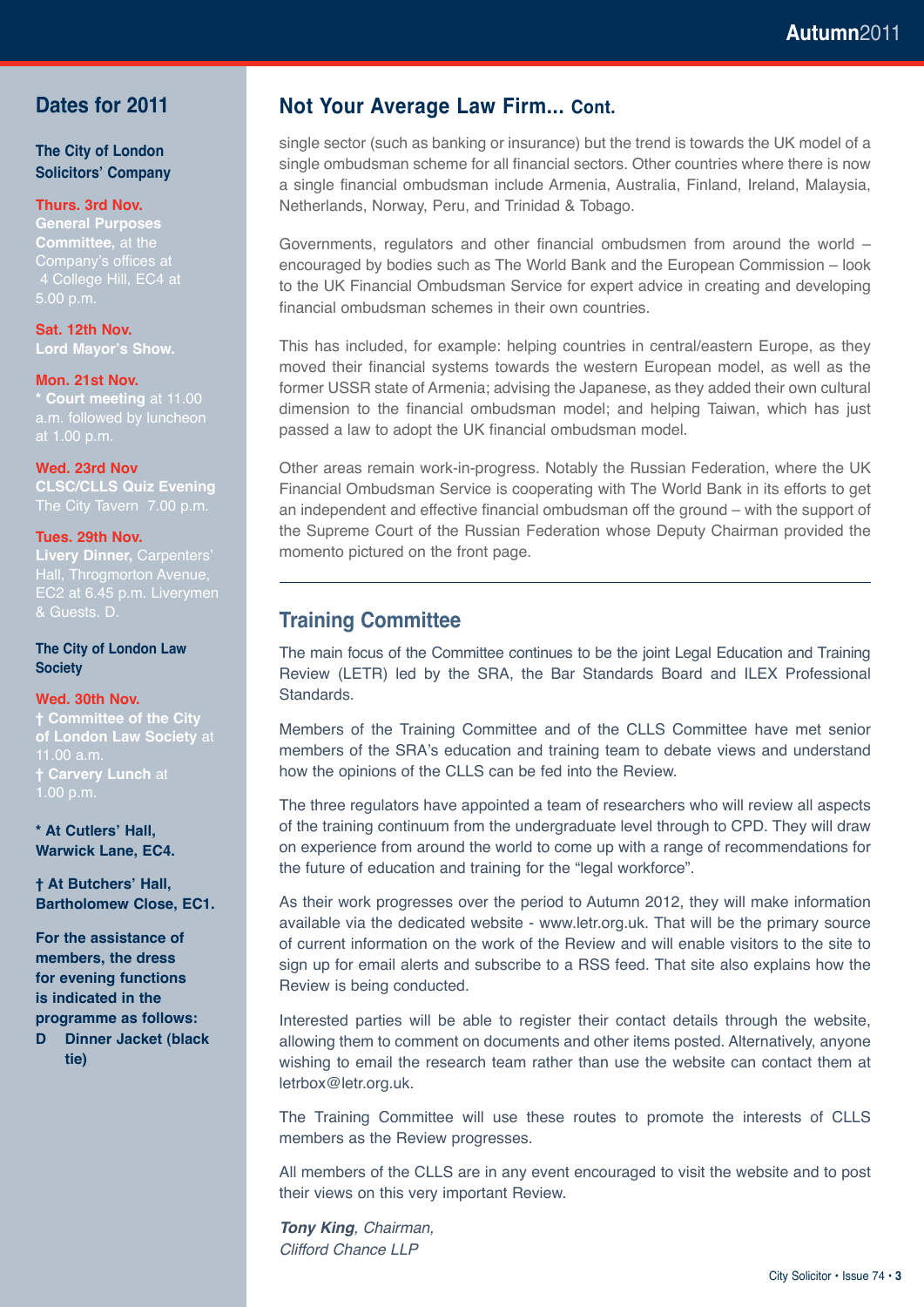#### **Dates for 2011**

**The City of London Solicitors' Company**

#### **Thurs. 3rd Nov.**

**General Purposes Committee,** at the Company's offices at 5.00 p.m.

**Sat. 12th Nov. Lord Mayor's Show.**

#### **Mon. 21st Nov.**

**\* Court meeting** at 11.00 a.m. followed by luncheon

#### **Wed. 23rd Nov**

**CLSC/CLLS Quiz Evening** 

#### **Tues. 29th Nov.**

**Livery Dinner,** Carpenters' Hall, Throgmorton Avenue,

**The City of London Law Society**

#### **Wed. 30th Nov.**

**† Committee of the City of London Law Society** at  $1.00$  a.m **† Carvery Lunch** at 1.00 p.m.

**\* At Cutlers' Hall, Warwick Lane, EC4.**

**† At Butchers' Hall, Bartholomew Close, EC1.**

**For the assistance of members, the dress for evening functions is indicated in the programme as follows: D Dinner Jacket (black tie)**

**Not Your Average Law Firm... Cont.**

single sector (such as banking or insurance) but the trend is towards the UK model of a single ombudsman scheme for all financial sectors. Other countries where there is now a single financial ombudsman include Armenia, Australia, Finland, Ireland, Malaysia, Netherlands, Norway, Peru, and Trinidad & Tobago.

Governments, regulators and other financial ombudsmen from around the world – encouraged by bodies such as The World Bank and the European Commission – look to the UK Financial Ombudsman Service for expert advice in creating and developing financial ombudsman schemes in their own countries.

This has included, for example: helping countries in central/eastern Europe, as they moved their financial systems towards the western European model, as well as the former USSR state of Armenia; advising the Japanese, as they added their own cultural dimension to the financial ombudsman model; and helping Taiwan, which has just passed a law to adopt the UK financial ombudsman model.

Other areas remain work-in-progress. Notably the Russian Federation, where the UK Financial Ombudsman Service is cooperating with The World Bank in its efforts to get an independent and effective financial ombudsman off the ground – with the support of the Supreme Court of the Russian Federation whose Deputy Chairman provided the momento pictured on the front page.

#### **Training Committee**

The main focus of the Committee continues to be the joint Legal Education and Training Review (LETR) led by the SRA, the Bar Standards Board and ILEX Professional Standards.

Members of the Training Committee and of the CLLS Committee have met senior members of the SRA's education and training team to debate views and understand how the opinions of the CLLS can be fed into the Review.

The three regulators have appointed a team of researchers who will review all aspects of the training continuum from the undergraduate level through to CPD. They will draw on experience from around the world to come up with a range of recommendations for the future of education and training for the "legal workforce".

As their work progresses over the period to Autumn 2012, they will make information available via the dedicated website - www.letr.org.uk. That will be the primary source of current information on the work of the Review and will enable visitors to the site to sign up for email alerts and subscribe to a RSS feed. That site also explains how the Review is being conducted.

Interested parties will be able to register their contact details through the website, allowing them to comment on documents and other items posted. Alternatively, anyone wishing to email the research team rather than use the website can contact them at letrbox@letr.org.uk.

The Training Committee will use these routes to promote the interests of CLLS members as the Review progresses.

All members of the CLLS are in any event encouraged to visit the website and to post their views on this very important Review.

*Tony King, Chairman, Clifford Chance LLP*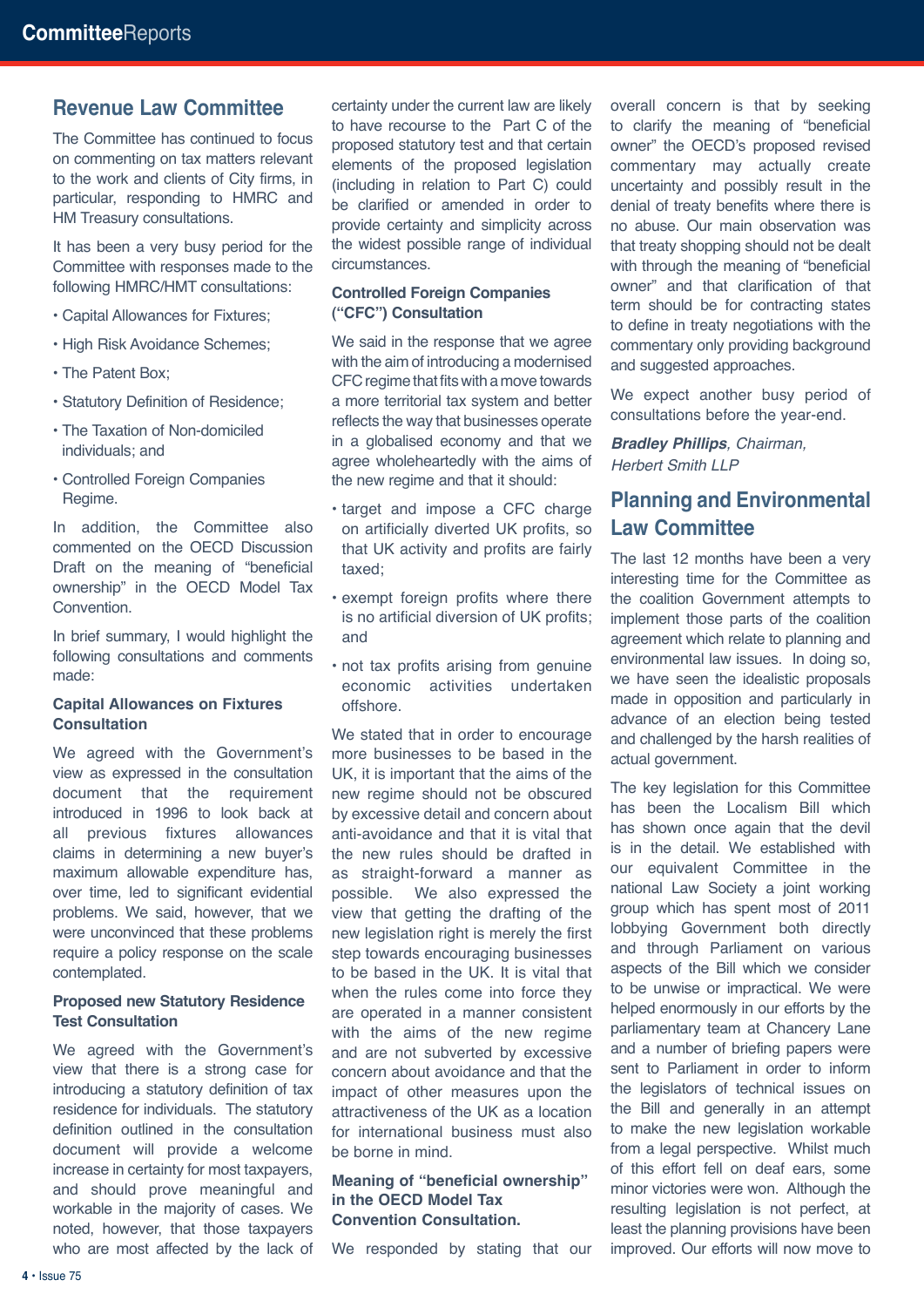#### **Revenue Law Committee**

The Committee has continued to focus on commenting on tax matters relevant to the work and clients of City firms, in particular, responding to HMRC and HM Treasury consultations.

It has been a very busy period for the Committee with responses made to the following HMRC/HMT consultations:

- Capital Allowances for Fixtures;
- High Risk Avoidance Schemes:
- The Patent Box;
- Statutory Definition of Residence;
- The Taxation of Non-domiciled individuals; and
- Controlled Foreign Companies Regime.

In addition, the Committee also commented on the OECD Discussion Draft on the meaning of "beneficial ownership" in the OECD Model Tax Convention.

In brief summary, I would highlight the following consultations and comments made:

#### **Capital Allowances on Fixtures Consultation**

We agreed with the Government's view as expressed in the consultation document that the requirement introduced in 1996 to look back at all previous fixtures allowances claims in determining a new buyer's maximum allowable expenditure has, over time, led to significant evidential problems. We said, however, that we were unconvinced that these problems require a policy response on the scale contemplated.

#### **Proposed new Statutory Residence Test Consultation**

We agreed with the Government's view that there is a strong case for introducing a statutory definition of tax residence for individuals. The statutory definition outlined in the consultation document will provide a welcome increase in certainty for most taxpayers, and should prove meaningful and workable in the majority of cases. We noted, however, that those taxpayers who are most affected by the lack of

certainty under the current law are likely to have recourse to the Part C of the proposed statutory test and that certain elements of the proposed legislation (including in relation to Part C) could be clarified or amended in order to provide certainty and simplicity across the widest possible range of individual circumstances.

#### **Controlled Foreign Companies ("CFC") Consultation**

We said in the response that we agree with the aim of introducing a modernised CFC regime that fits with a move towards a more territorial tax system and better reflects the way that businesses operate in a globalised economy and that we agree wholeheartedly with the aims of the new regime and that it should:

- target and impose a CFC charge on artificially diverted UK profits, so that UK activity and profits are fairly taxed;
- exempt foreign profits where there is no artificial diversion of UK profits; and
- not tax profits arising from genuine economic activities undertaken offshore.

We stated that in order to encourage more businesses to be based in the UK, it is important that the aims of the new regime should not be obscured by excessive detail and concern about anti-avoidance and that it is vital that the new rules should be drafted in as straight-forward a manner as possible. We also expressed the view that getting the drafting of the new legislation right is merely the first step towards encouraging businesses to be based in the UK. It is vital that when the rules come into force they are operated in a manner consistent with the aims of the new regime and are not subverted by excessive concern about avoidance and that the impact of other measures upon the attractiveness of the UK as a location for international business must also be borne in mind.

#### **Meaning of "beneficial ownership" in the OECD Model Tax Convention Consultation.**

We responded by stating that our

overall concern is that by seeking to clarify the meaning of "beneficial owner" the OECD's proposed revised commentary may actually create uncertainty and possibly result in the denial of treaty benefits where there is no abuse. Our main observation was that treaty shopping should not be dealt with through the meaning of "beneficial owner" and that clarification of that term should be for contracting states to define in treaty negotiations with the commentary only providing background and suggested approaches.

We expect another busy period of consultations before the year-end.

*Bradley Phillips, Chairman, Herbert Smith LLP*

#### **Planning and Environmental Law Committee**

The last 12 months have been a very interesting time for the Committee as the coalition Government attempts to implement those parts of the coalition agreement which relate to planning and environmental law issues. In doing so, we have seen the idealistic proposals made in opposition and particularly in advance of an election being tested and challenged by the harsh realities of actual government.

The key legislation for this Committee has been the Localism Bill which has shown once again that the devil is in the detail. We established with our equivalent Committee in the national Law Society a joint working group which has spent most of 2011 lobbying Government both directly and through Parliament on various aspects of the Bill which we consider to be unwise or impractical. We were helped enormously in our efforts by the parliamentary team at Chancery Lane and a number of briefing papers were sent to Parliament in order to inform the legislators of technical issues on the Bill and generally in an attempt to make the new legislation workable from a legal perspective. Whilst much of this effort fell on deaf ears, some minor victories were won. Although the resulting legislation is not perfect, at least the planning provisions have been improved. Our efforts will now move to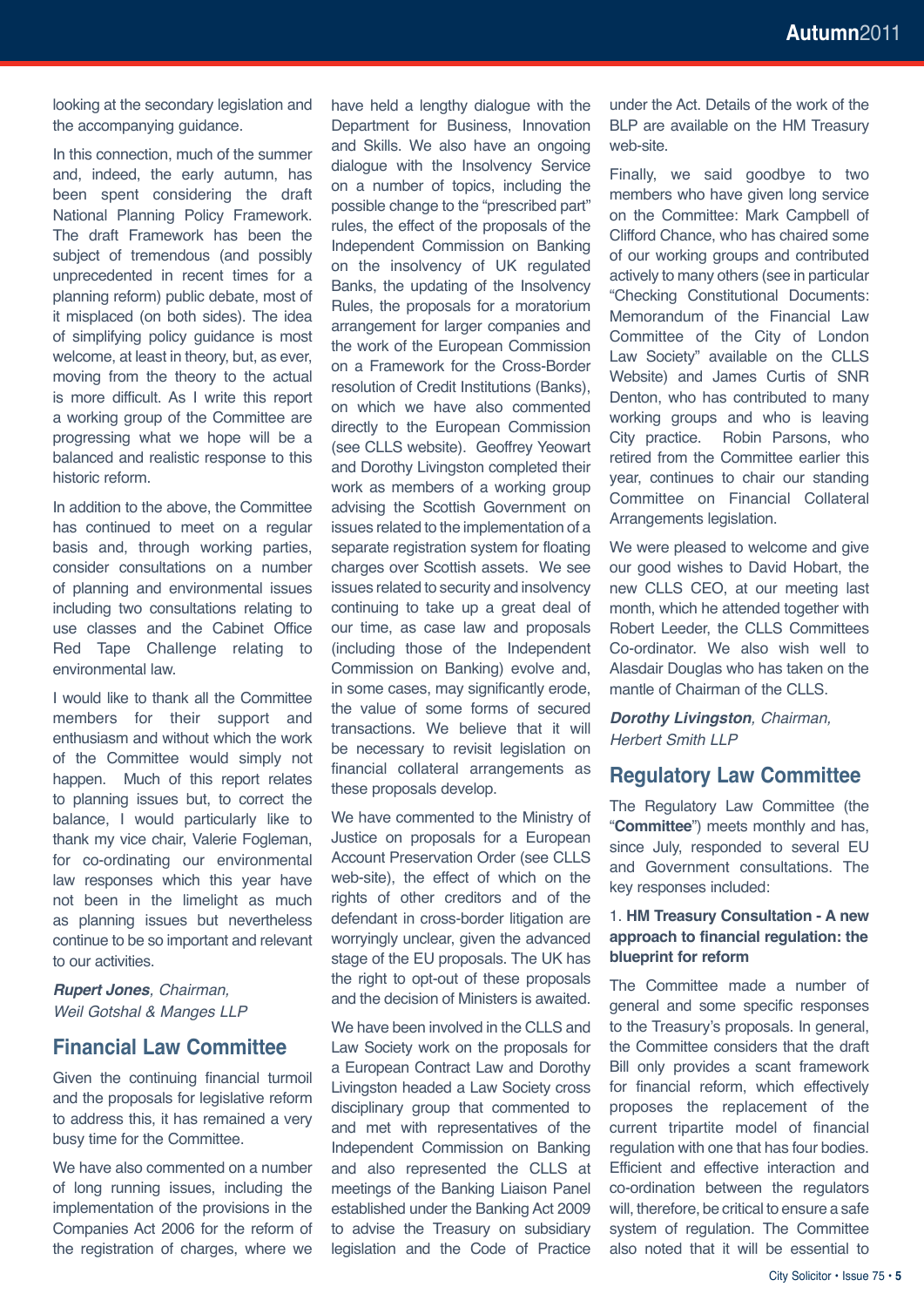looking at the secondary legislation and the accompanying guidance.

In this connection, much of the summer and, indeed, the early autumn, has been spent considering the draft National Planning Policy Framework. The draft Framework has been the subject of tremendous (and possibly unprecedented in recent times for a planning reform) public debate, most of it misplaced (on both sides). The idea of simplifying policy guidance is most welcome, at least in theory, but, as ever, moving from the theory to the actual is more difficult. As I write this report a working group of the Committee are progressing what we hope will be a balanced and realistic response to this historic reform.

In addition to the above, the Committee has continued to meet on a regular basis and, through working parties, consider consultations on a number of planning and environmental issues including two consultations relating to use classes and the Cabinet Office Red Tape Challenge relating to environmental law.

I would like to thank all the Committee members for their support and enthusiasm and without which the work of the Committee would simply not happen. Much of this report relates to planning issues but, to correct the balance, I would particularly like to thank my vice chair, Valerie Fogleman, for co-ordinating our environmental law responses which this year have not been in the limelight as much as planning issues but nevertheless continue to be so important and relevant to our activities.

*Rupert Jones, Chairman, Weil Gotshal & Manges LLP*

#### **Financial Law Committee**

Given the continuing financial turmoil and the proposals for legislative reform to address this, it has remained a very busy time for the Committee.

We have also commented on a number of long running issues, including the implementation of the provisions in the Companies Act 2006 for the reform of the registration of charges, where we have held a lengthy dialogue with the Department for Business, Innovation and Skills. We also have an ongoing dialogue with the Insolvency Service on a number of topics, including the possible change to the "prescribed part" rules, the effect of the proposals of the Independent Commission on Banking on the insolvency of UK regulated Banks, the updating of the Insolvency Rules, the proposals for a moratorium arrangement for larger companies and the work of the European Commission on a Framework for the Cross-Border resolution of Credit Institutions (Banks), on which we have also commented directly to the European Commission (see CLLS website). Geoffrey Yeowart and Dorothy Livingston completed their work as members of a working group advising the Scottish Government on issues related to the implementation of a separate registration system for floating charges over Scottish assets. We see issues related to security and insolvency continuing to take up a great deal of our time, as case law and proposals (including those of the Independent Commission on Banking) evolve and, in some cases, may significantly erode, the value of some forms of secured transactions. We believe that it will be necessary to revisit legislation on financial collateral arrangements as these proposals develop.

We have commented to the Ministry of Justice on proposals for a European Account Preservation Order (see CLLS web-site), the effect of which on the rights of other creditors and of the defendant in cross-border litigation are worryingly unclear, given the advanced stage of the EU proposals. The UK has the right to opt-out of these proposals and the decision of Ministers is awaited.

We have been involved in the CLLS and Law Society work on the proposals for a European Contract Law and Dorothy Livingston headed a Law Society cross disciplinary group that commented to and met with representatives of the Independent Commission on Banking and also represented the CLLS at meetings of the Banking Liaison Panel established under the Banking Act 2009 to advise the Treasury on subsidiary legislation and the Code of Practice under the Act. Details of the work of the BLP are available on the HM Treasury web-site.

Finally, we said goodbye to two members who have given long service on the Committee: Mark Campbell of Clifford Chance, who has chaired some of our working groups and contributed actively to many others (see in particular "Checking Constitutional Documents: Memorandum of the Financial Law Committee of the City of London Law Society" available on the CLLS Website) and James Curtis of SNR Denton, who has contributed to many working groups and who is leaving City practice. Robin Parsons, who retired from the Committee earlier this year, continues to chair our standing Committee on Financial Collateral Arrangements legislation.

We were pleased to welcome and give our good wishes to David Hobart, the new CLLS CEO, at our meeting last month, which he attended together with Robert Leeder, the CLLS Committees Co-ordinator. We also wish well to Alasdair Douglas who has taken on the mantle of Chairman of the CLLS.

*Dorothy Livingston, Chairman, Herbert Smith LLP*

#### **Regulatory Law Committee**

The Regulatory Law Committee (the "**Committee**") meets monthly and has, since July, responded to several EU and Government consultations. The key responses included:

#### 1. **HM Treasury Consultation - A new approach to financial regulation: the blueprint for reform**

The Committee made a number of general and some specific responses to the Treasury's proposals. In general, the Committee considers that the draft Bill only provides a scant framework for financial reform, which effectively proposes the replacement of the current tripartite model of financial regulation with one that has four bodies. Efficient and effective interaction and co-ordination between the regulators will, therefore, be critical to ensure a safe system of regulation. The Committee also noted that it will be essential to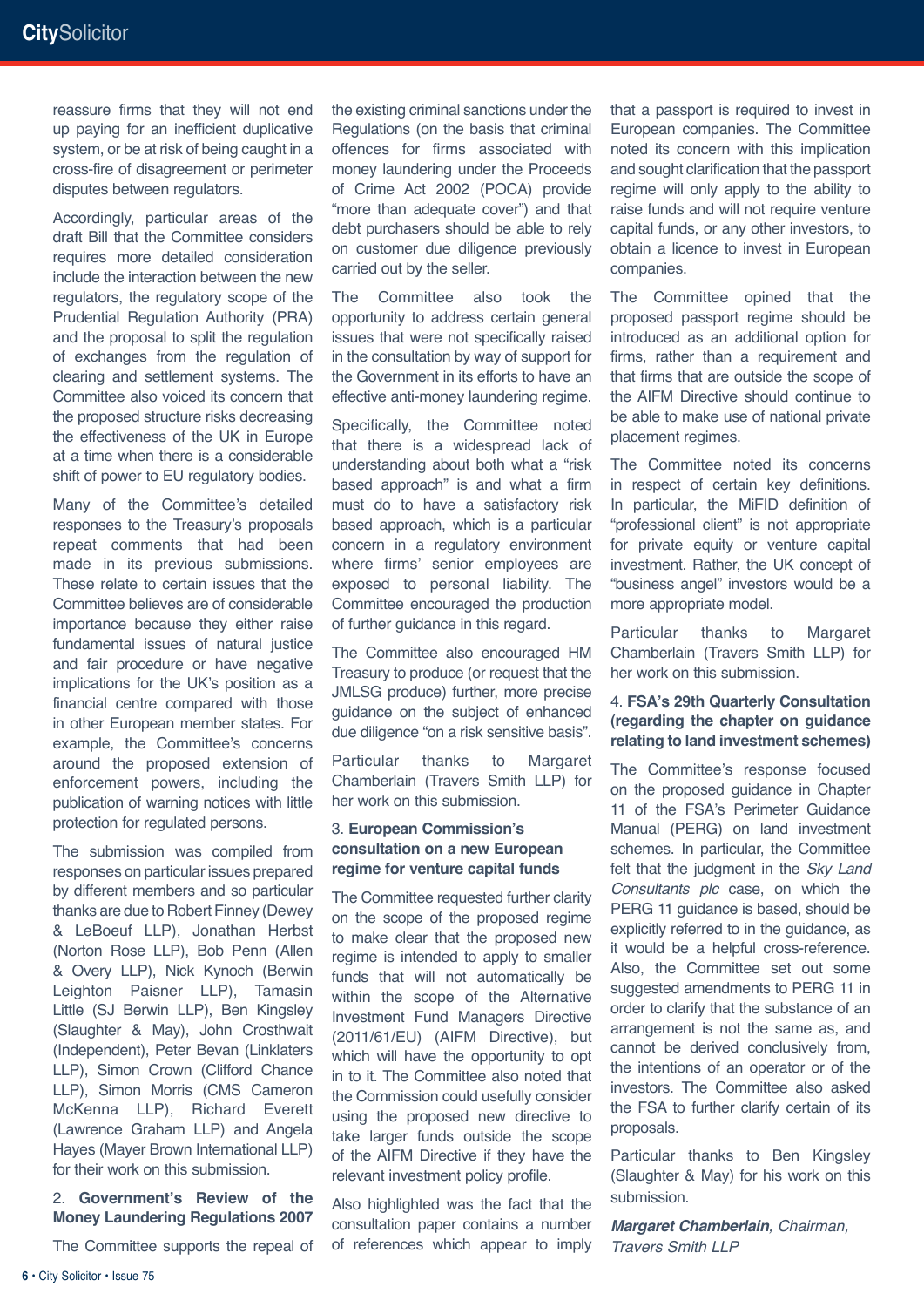reassure firms that they will not end up paying for an inefficient duplicative system, or be at risk of being caught in a cross-fire of disagreement or perimeter disputes between regulators.

Accordingly, particular areas of the draft Bill that the Committee considers requires more detailed consideration include the interaction between the new regulators, the regulatory scope of the Prudential Regulation Authority (PRA) and the proposal to split the regulation of exchanges from the regulation of clearing and settlement systems. The Committee also voiced its concern that the proposed structure risks decreasing the effectiveness of the UK in Europe at a time when there is a considerable shift of power to EU regulatory bodies.

Many of the Committee's detailed responses to the Treasury's proposals repeat comments that had been made in its previous submissions. These relate to certain issues that the Committee believes are of considerable importance because they either raise fundamental issues of natural justice and fair procedure or have negative implications for the UK's position as a financial centre compared with those in other European member states. For example, the Committee's concerns around the proposed extension of enforcement powers, including the publication of warning notices with little protection for regulated persons.

The submission was compiled from responses on particular issues prepared by different members and so particular thanks are due to Robert Finney (Dewey & LeBoeuf LLP), Jonathan Herbst (Norton Rose LLP), Bob Penn (Allen & Overy LLP), Nick Kynoch (Berwin Leighton Paisner LLP), Tamasin Little (SJ Berwin LLP), Ben Kingsley (Slaughter & May), John Crosthwait (Independent), Peter Bevan (Linklaters LLP), Simon Crown (Clifford Chance LLP), Simon Morris (CMS Cameron McKenna LLP), Richard Everett (Lawrence Graham LLP) and Angela Hayes (Mayer Brown International LLP) for their work on this submission.

2. **Government's Review of the Money Laundering Regulations 2007**

The Committee supports the repeal of

the existing criminal sanctions under the Regulations (on the basis that criminal offences for firms associated with money laundering under the Proceeds of Crime Act 2002 (POCA) provide "more than adequate cover") and that debt purchasers should be able to rely on customer due diligence previously carried out by the seller.

The Committee also took the opportunity to address certain general issues that were not specifically raised in the consultation by way of support for the Government in its efforts to have an effective anti-money laundering regime.

Specifically, the Committee noted that there is a widespread lack of understanding about both what a "risk based approach" is and what a firm must do to have a satisfactory risk based approach, which is a particular concern in a regulatory environment where firms' senior employees are exposed to personal liability. The Committee encouraged the production of further guidance in this regard.

The Committee also encouraged HM Treasury to produce (or request that the JMLSG produce) further, more precise guidance on the subject of enhanced due diligence "on a risk sensitive basis".

Particular thanks to Margaret Chamberlain (Travers Smith LLP) for her work on this submission.

#### 3. **European Commission's consultation on a new European regime for venture capital funds**

The Committee requested further clarity on the scope of the proposed regime to make clear that the proposed new regime is intended to apply to smaller funds that will not automatically be within the scope of the Alternative Investment Fund Managers Directive (2011/61/EU) (AIFM Directive), but which will have the opportunity to opt in to it. The Committee also noted that the Commission could usefully consider using the proposed new directive to take larger funds outside the scope of the AIFM Directive if they have the relevant investment policy profile.

Also highlighted was the fact that the consultation paper contains a number of references which appear to imply that a passport is required to invest in European companies. The Committee noted its concern with this implication and sought clarification that the passport regime will only apply to the ability to raise funds and will not require venture capital funds, or any other investors, to obtain a licence to invest in European companies.

The Committee opined that the proposed passport regime should be introduced as an additional option for firms, rather than a requirement and that firms that are outside the scope of the AIFM Directive should continue to be able to make use of national private placement regimes.

The Committee noted its concerns in respect of certain key definitions. In particular, the MiFID definition of "professional client" is not appropriate for private equity or venture capital investment. Rather, the UK concept of "business angel" investors would be a more appropriate model.

Particular thanks to Margaret Chamberlain (Travers Smith LLP) for her work on this submission.

#### 4. **FSA's 29th Quarterly Consultation (regarding the chapter on guidance relating to land investment schemes)**

The Committee's response focused on the proposed guidance in Chapter 11 of the FSA's Perimeter Guidance Manual (PERG) on land investment schemes. In particular, the Committee felt that the judgment in the *Sky Land Consultants plc* case, on which the PERG 11 guidance is based, should be explicitly referred to in the guidance, as it would be a helpful cross-reference. Also, the Committee set out some suggested amendments to PERG 11 in order to clarify that the substance of an arrangement is not the same as, and cannot be derived conclusively from, the intentions of an operator or of the investors. The Committee also asked the FSA to further clarify certain of its proposals.

Particular thanks to Ben Kingsley (Slaughter & May) for his work on this submission.

*Margaret Chamberlain, Chairman, Travers Smith LLP*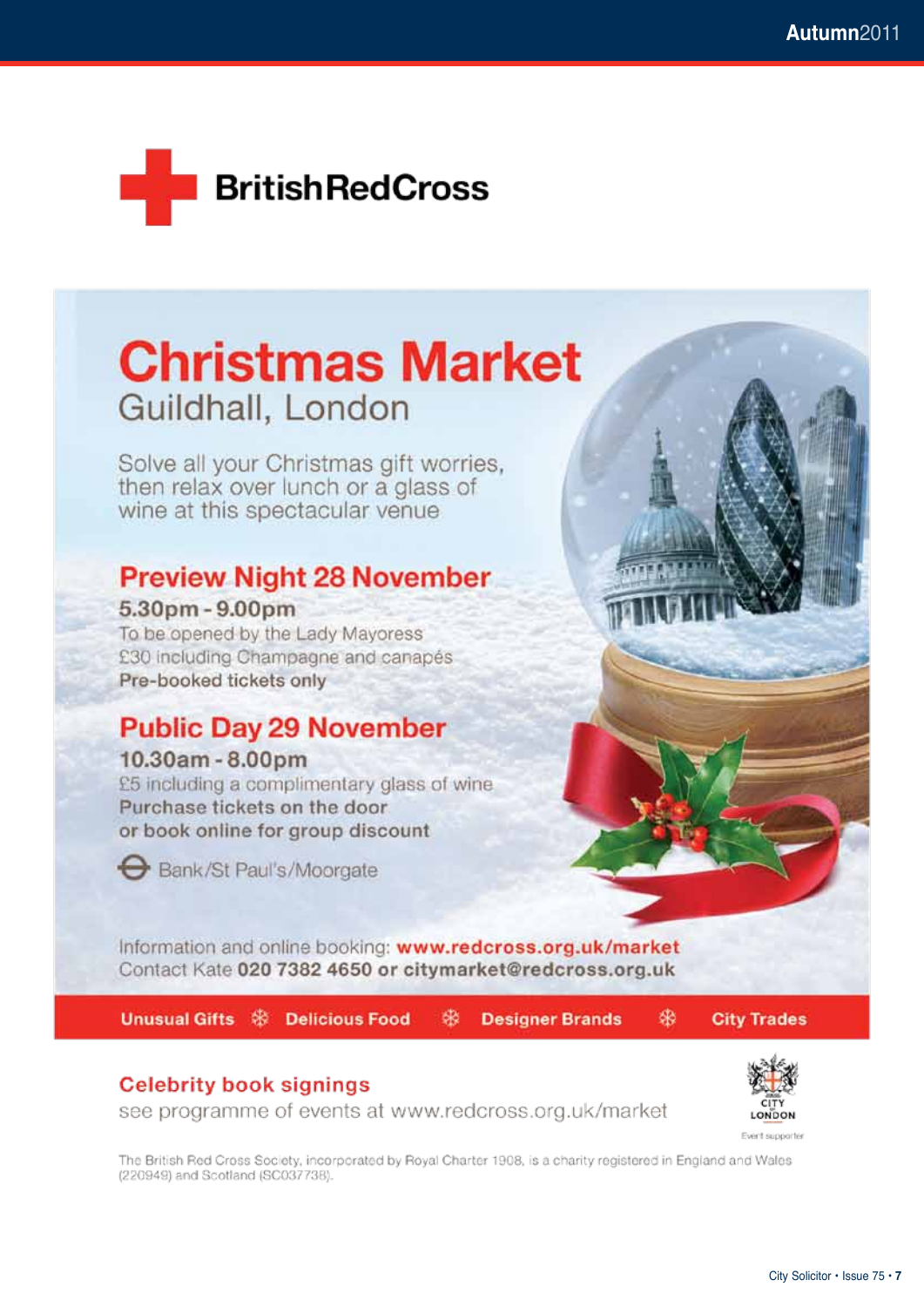

## **Christmas Market** Guildhall, London

Solve all your Christmas gift worries, then relax over lunch or a glass of wine at this spectacular venue

#### **Preview Night 28 November**

5.30pm - 9.00pm To be opened by the Lady Mayoress £30 including Champagne and canapés Pre-booked tickets only

#### **Public Day 29 November**

#### 10.30am - 8.00pm

£5 including a complimentary glass of wine Purchase tickets on the door or book online for group discount



Bank/St Paul's/Moorgate

Information and online booking: www.redcross.org.uk/market Contact Kate 020 7382 4650 or citymarket@redcross.org.uk

Unusual Gifts St Delicious Food

粥 **Designer Brands**  **City Trades** 

骆

#### **Celebrity book signings**

see programme of events at www.redcross.org.uk/market



Event supporter

The British Red Cross Society, incorporated by Royal Charter 1908, is a charity registered in England and Wales (220949) and Scotland (SC037738).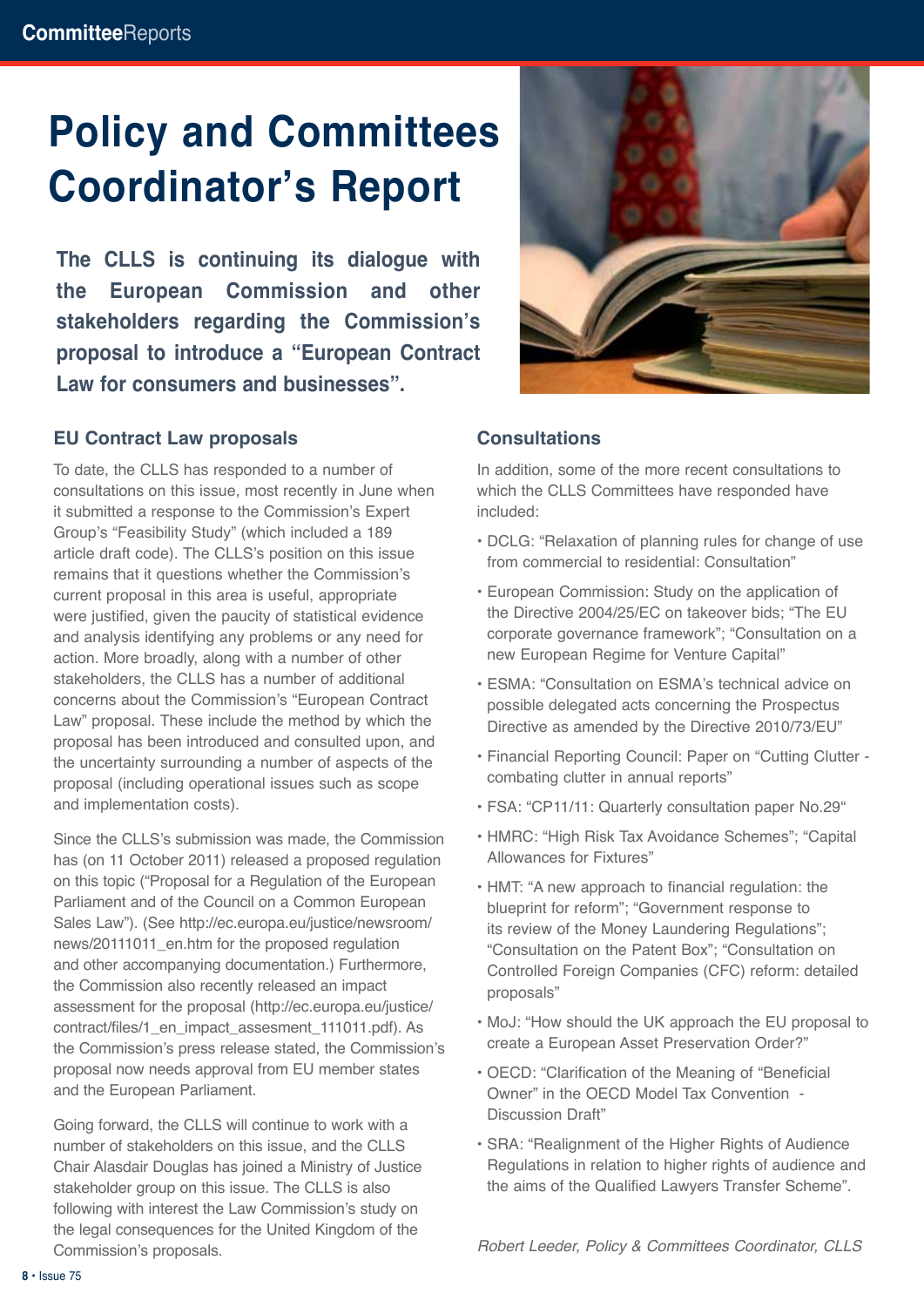# **Policy and Committees Coordinator's Report**

**The CLLS is continuing its dialogue with the European Commission and other stakeholders regarding the Commission's proposal to introduce a "European Contract Law for consumers and businesses".** 

#### **EU Contract Law proposals**

To date, the CLLS has responded to a number of consultations on this issue, most recently in June when it submitted a response to the Commission's Expert Group's "Feasibility Study" (which included a 189 article draft code). The CLLS's position on this issue remains that it questions whether the Commission's current proposal in this area is useful, appropriate were justified, given the paucity of statistical evidence and analysis identifying any problems or any need for action. More broadly, along with a number of other stakeholders, the CLLS has a number of additional concerns about the Commission's "European Contract Law" proposal. These include the method by which the proposal has been introduced and consulted upon, and the uncertainty surrounding a number of aspects of the proposal (including operational issues such as scope and implementation costs).

Since the CLLS's submission was made, the Commission has (on 11 October 2011) released a proposed regulation on this topic ("Proposal for a Regulation of the European Parliament and of the Council on a Common European Sales Law"). (See http://ec.europa.eu/justice/newsroom/ news/20111011\_en.htm for the proposed regulation and other accompanying documentation.) Furthermore, the Commission also recently released an impact assessment for the proposal (http://ec.europa.eu/justice/ contract/files/1\_en\_impact\_assesment\_111011.pdf). As the Commission's press release stated, the Commission's proposal now needs approval from EU member states and the European Parliament.

Going forward, the CLLS will continue to work with a number of stakeholders on this issue, and the CLLS Chair Alasdair Douglas has joined a Ministry of Justice stakeholder group on this issue. The CLLS is also following with interest the Law Commission's study on the legal consequences for the United Kingdom of the Commission's proposals.



#### **Consultations**

In addition, some of the more recent consultations to which the CLLS Committees have responded have included:

- DCLG: "Relaxation of planning rules for change of use from commercial to residential: Consultation"
- European Commission: Study on the application of the Directive 2004/25/EC on takeover bids; "The EU corporate governance framework"; "Consultation on a new European Regime for Venture Capital"
- ESMA: "Consultation on ESMA's technical advice on possible delegated acts concerning the Prospectus Directive as amended by the Directive 2010/73/EU"
- Financial Reporting Council: Paper on "Cutting Clutter combating clutter in annual reports"
- FSA: "CP11/11: Quarterly consultation paper No.29"
- HMRC: "High Risk Tax Avoidance Schemes"; "Capital Allowances for Fixtures"
- HMT: "A new approach to financial regulation: the blueprint for reform"; "Government response to its review of the Money Laundering Regulations"; "Consultation on the Patent Box"; "Consultation on Controlled Foreign Companies (CFC) reform: detailed proposals"
- MoJ: "How should the UK approach the EU proposal to create a European Asset Preservation Order?"
- OECD: "Clarification of the Meaning of "Beneficial Owner" in the OECD Model Tax Convention - Discussion Draft"
- SRA: "Realignment of the Higher Rights of Audience Regulations in relation to higher rights of audience and the aims of the Qualified Lawyers Transfer Scheme".

*Robert Leeder, Policy & Committees Coordinator, CLLS*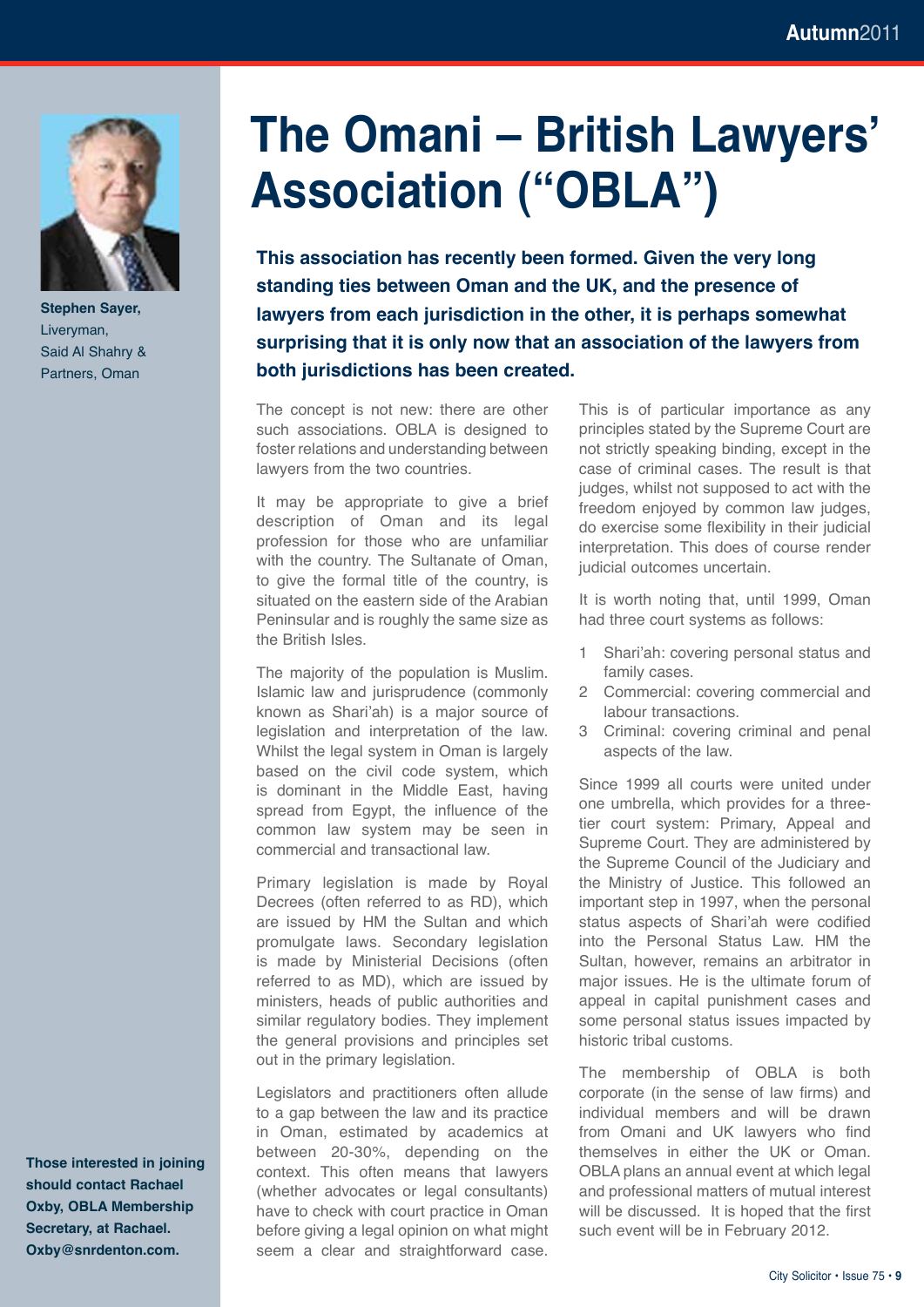

**Stephen Sayer,**  Liveryman, Said Al Shahry & Partners, Oman

# **The Omani – British Lawyers' Association ("OBLA")**

**This association has recently been formed. Given the very long standing ties between Oman and the UK, and the presence of lawyers from each jurisdiction in the other, it is perhaps somewhat surprising that it is only now that an association of the lawyers from both jurisdictions has been created.** 

The concept is not new: there are other such associations. OBLA is designed to foster relations and understanding between lawyers from the two countries.

It may be appropriate to give a brief description of Oman and its legal profession for those who are unfamiliar with the country. The Sultanate of Oman, to give the formal title of the country, is situated on the eastern side of the Arabian Peninsular and is roughly the same size as the British Isles.

The majority of the population is Muslim. Islamic law and jurisprudence (commonly known as Shari'ah) is a major source of legislation and interpretation of the law. Whilst the legal system in Oman is largely based on the civil code system, which is dominant in the Middle East, having spread from Egypt, the influence of the common law system may be seen in commercial and transactional law.

Primary legislation is made by Royal Decrees (often referred to as RD), which are issued by HM the Sultan and which promulgate laws. Secondary legislation is made by Ministerial Decisions (often referred to as MD), which are issued by ministers, heads of public authorities and similar regulatory bodies. They implement the general provisions and principles set out in the primary legislation.

Legislators and practitioners often allude to a gap between the law and its practice in Oman, estimated by academics at between 20-30%, depending on the context. This often means that lawyers (whether advocates or legal consultants) have to check with court practice in Oman before giving a legal opinion on what might seem a clear and straightforward case.

This is of particular importance as any principles stated by the Supreme Court are not strictly speaking binding, except in the case of criminal cases. The result is that judges, whilst not supposed to act with the freedom enjoyed by common law judges, do exercise some flexibility in their judicial interpretation. This does of course render judicial outcomes uncertain.

It is worth noting that, until 1999, Oman had three court systems as follows:

- 1 Shari'ah: covering personal status and family cases.
- 2 Commercial: covering commercial and labour transactions.
- 3 Criminal: covering criminal and penal aspects of the law.

Since 1999 all courts were united under one umbrella, which provides for a threetier court system: Primary, Appeal and Supreme Court. They are administered by the Supreme Council of the Judiciary and the Ministry of Justice. This followed an important step in 1997, when the personal status aspects of Shari'ah were codified into the Personal Status Law. HM the Sultan, however, remains an arbitrator in major issues. He is the ultimate forum of appeal in capital punishment cases and some personal status issues impacted by historic tribal customs.

The membership of OBLA is both corporate (in the sense of law firms) and individual members and will be drawn from Omani and UK lawyers who find themselves in either the UK or Oman. OBLA plans an annual event at which legal and professional matters of mutual interest will be discussed. It is hoped that the first such event will be in February 2012.

**Those interested in joining should contact Rachael Oxby, OBLA Membership Secretary, at Rachael. Oxby@snrdenton.com.**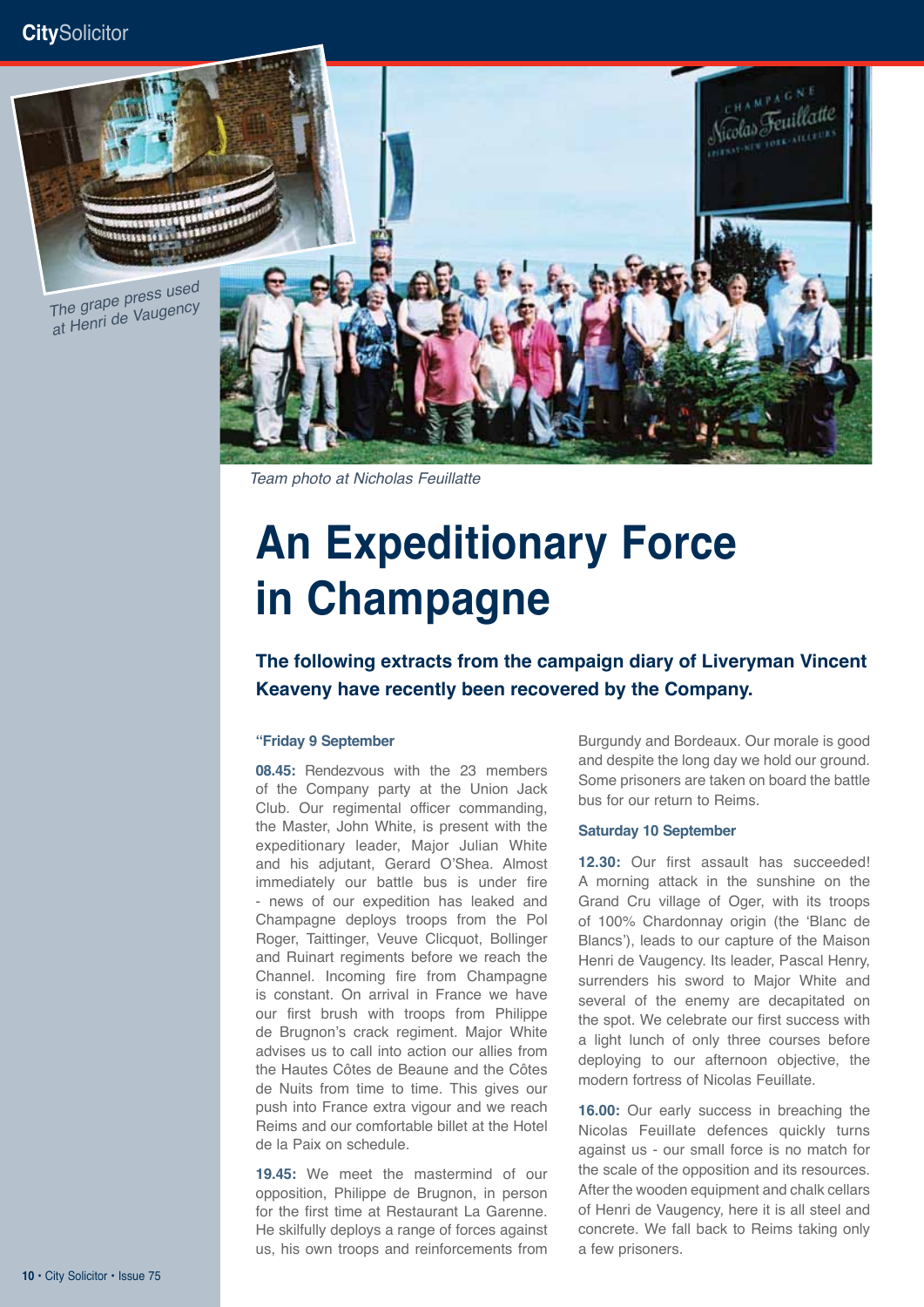

*Team photo at Nicholas Feuillatte*

# **An Expeditionary Force in Champagne**

**The following extracts from the campaign diary of Liveryman Vincent Keaveny have recently been recovered by the Company.**

#### **"Friday 9 September**

**08.45:** Rendezvous with the 23 members of the Company party at the Union Jack Club. Our regimental officer commanding, the Master, John White, is present with the expeditionary leader, Major Julian White and his adjutant, Gerard O'Shea. Almost immediately our battle bus is under fire - news of our expedition has leaked and Champagne deploys troops from the Pol Roger, Taittinger, Veuve Clicquot, Bollinger and Ruinart regiments before we reach the Channel. Incoming fire from Champagne is constant. On arrival in France we have our first brush with troops from Philippe de Brugnon's crack regiment. Major White advises us to call into action our allies from the Hautes Côtes de Beaune and the Côtes de Nuits from time to time. This gives our push into France extra vigour and we reach Reims and our comfortable billet at the Hotel de la Paix on schedule.

**19.45:** We meet the mastermind of our opposition, Philippe de Brugnon, in person for the first time at Restaurant La Garenne. He skilfully deploys a range of forces against us, his own troops and reinforcements from

Burgundy and Bordeaux. Our morale is good and despite the long day we hold our ground. Some prisoners are taken on board the battle bus for our return to Reims.

#### **Saturday 10 September**

**12.30:** Our first assault has succeeded! A morning attack in the sunshine on the Grand Cru village of Oger, with its troops of 100% Chardonnay origin (the 'Blanc de Blancs'), leads to our capture of the Maison Henri de Vaugency. Its leader, Pascal Henry, surrenders his sword to Major White and several of the enemy are decapitated on the spot. We celebrate our first success with a light lunch of only three courses before deploying to our afternoon objective, the modern fortress of Nicolas Feuillate.

**16.00:** Our early success in breaching the Nicolas Feuillate defences quickly turns against us - our small force is no match for the scale of the opposition and its resources. After the wooden equipment and chalk cellars of Henri de Vaugency, here it is all steel and concrete. We fall back to Reims taking only a few prisoners.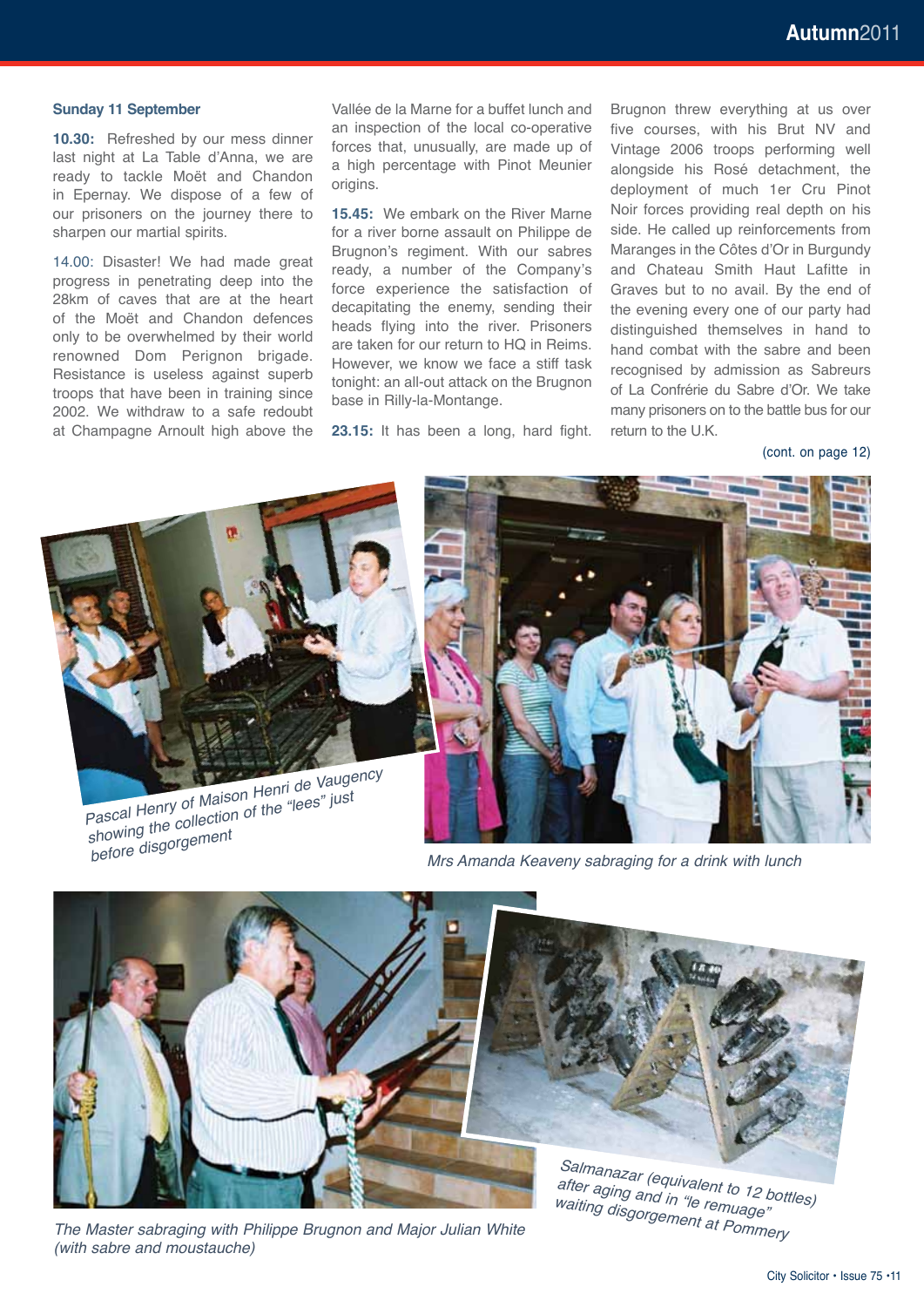#### **Sunday 11 September**

**10.30:** Refreshed by our mess dinner last night at La Table d'Anna, we are ready to tackle Moët and Chandon in Epernay. We dispose of a few of our prisoners on the journey there to sharpen our martial spirits.

14.00: Disaster! We had made great progress in penetrating deep into the 28km of caves that are at the heart of the Moët and Chandon defences only to be overwhelmed by their world renowned Dom Perignon brigade. Resistance is useless against superb troops that have been in training since 2002. We withdraw to a safe redoubt at Champagne Arnoult high above the

Vallée de la Marne for a buffet lunch and an inspection of the local co-operative forces that, unusually, are made up of a high percentage with Pinot Meunier origins.

**15.45:** We embark on the River Marne for a river borne assault on Philippe de Brugnon's regiment. With our sabres ready, a number of the Company's force experience the satisfaction of decapitating the enemy, sending their heads flying into the river. Prisoners are taken for our return to HQ in Reims. However, we know we face a stiff task tonight: an all-out attack on the Brugnon base in Rilly-la-Montange.

**23.15:** It has been a long, hard fight.

Brugnon threw everything at us over five courses, with his Brut NV and Vintage 2006 troops performing well alongside his Rosé detachment, the deployment of much 1er Cru Pinot Noir forces providing real depth on his side. He called up reinforcements from Maranges in the Côtes d'Or in Burgundy and Chateau Smith Haut Lafitte in Graves but to no avail. By the end of the evening every one of our party had distinguished themselves in hand to hand combat with the sabre and been recognised by admission as Sabreurs of La Confrérie du Sabre d'Or. We take many prisoners on to the battle bus for our return to the U.K.

(cont. on page 12)



*Mrs Amanda Keaveny sabraging for a drink with lunch*



*The Master sabraging with Philippe Brugnon and Major Julian White (with sabre and moustauche)*

*after aging and in "le remuage" waiting disgorgement at Pommery*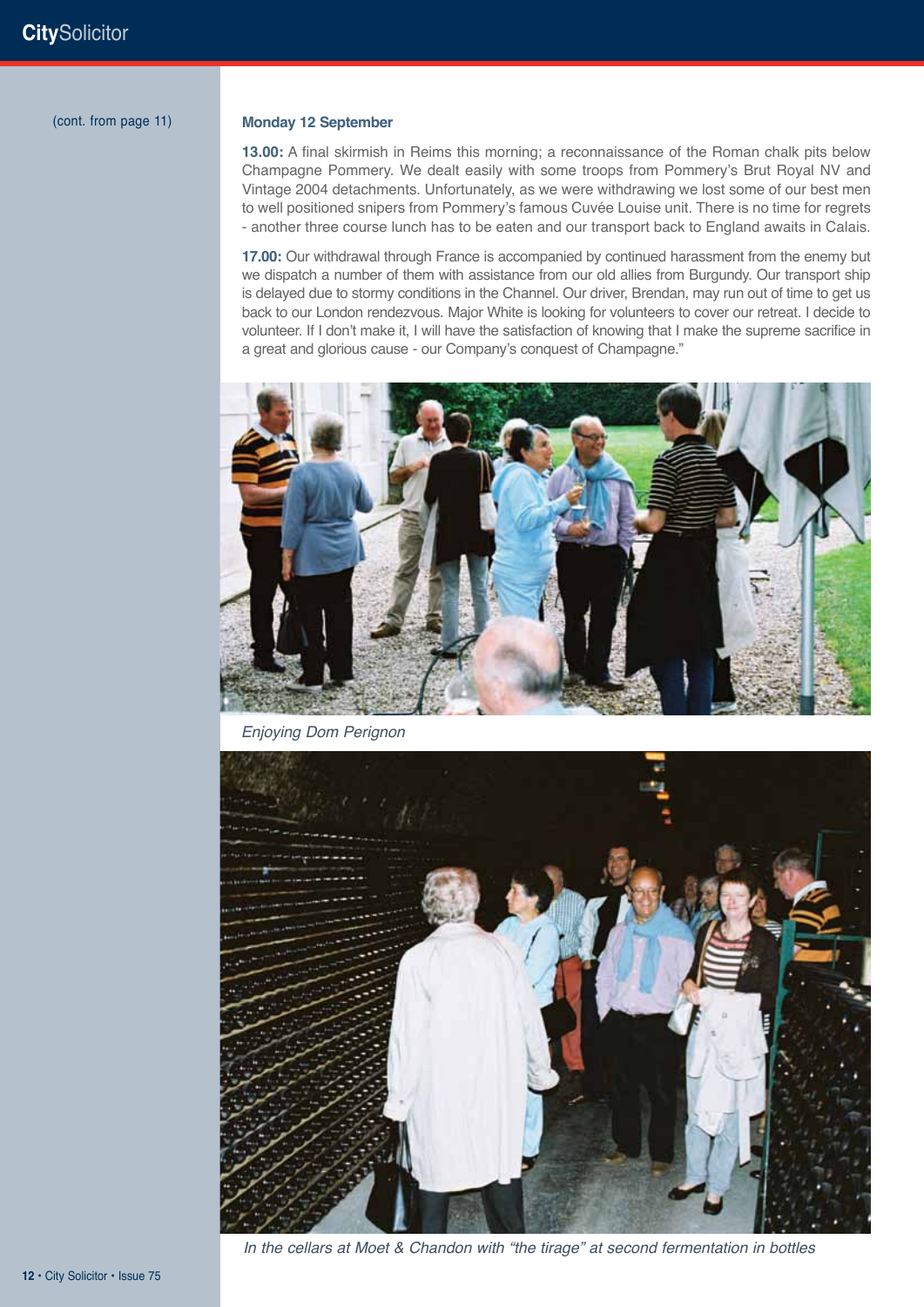(cont. from page 11)

#### **Monday 12 September**

**13.00:** A final skirmish in Reims this morning; a reconnaissance of the Roman chalk pits below Champagne Pommery. We dealt easily with some troops from Pommery's Brut Royal NV and Vintage 2004 detachments. Unfortunately, as we were withdrawing we lost some of our best men to well positioned snipers from Pommery's famous Cuvée Louise unit. There is no time for regrets - another three course lunch has to be eaten and our transport back to England awaits in Calais.

**17.00:** Our withdrawal through France is accompanied by continued harassment from the enemy but we dispatch a number of them with assistance from our old allies from Burgundy. Our transport ship is delayed due to stormy conditions in the Channel. Our driver, Brendan, may run out of time to get us back to our London rendezvous. Major White is looking for volunteers to cover our retreat. I decide to volunteer. If I don't make it, I will have the satisfaction of knowing that I make the supreme sacrifice in a great and glorious cause - our Company's conquest of Champagne."



*Enjoying Dom Perignon*



*In the cellars at Moet & Chandon with "the tirage" at second fermentation in bottles*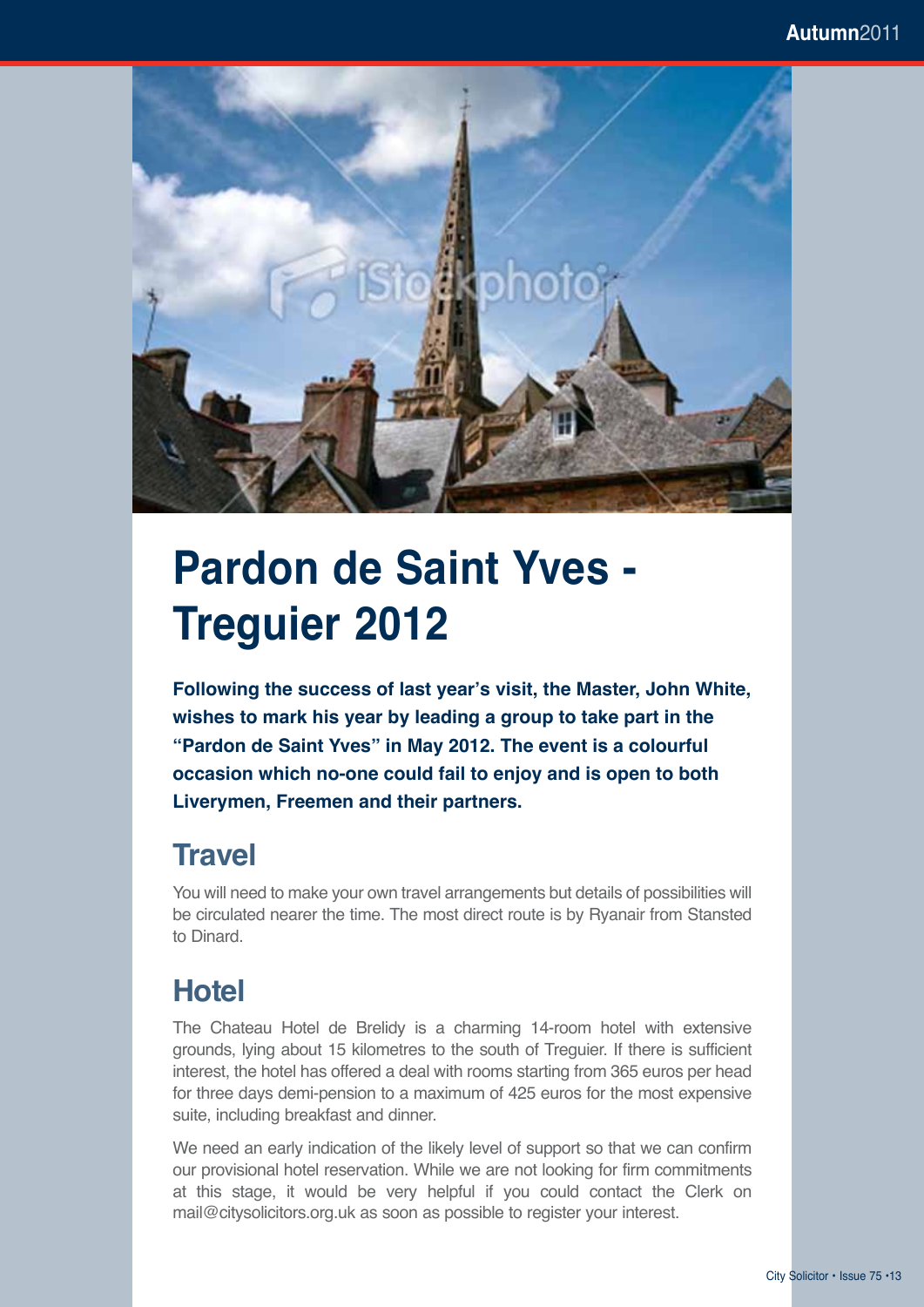

# **Pardon de Saint Yves - Treguier 2012**

**Following the success of last year's visit, the Master, John White, wishes to mark his year by leading a group to take part in the "Pardon de Saint Yves" in May 2012. The event is a colourful occasion which no-one could fail to enjoy and is open to both Liverymen, Freemen and their partners.**

#### **Travel**

You will need to make your own travel arrangements but details of possibilities will be circulated nearer the time. The most direct route is by Ryanair from Stansted to Dinard.

### **Hotel**

The Chateau Hotel de Brelidy is a charming 14-room hotel with extensive grounds, lying about 15 kilometres to the south of Treguier. If there is sufficient interest, the hotel has offered a deal with rooms starting from 365 euros per head for three days demi-pension to a maximum of 425 euros for the most expensive suite, including breakfast and dinner.

We need an early indication of the likely level of support so that we can confirm our provisional hotel reservation. While we are not looking for firm commitments at this stage, it would be very helpful if you could contact the Clerk on mail@citysolicitors.org.uk as soon as possible to register your interest.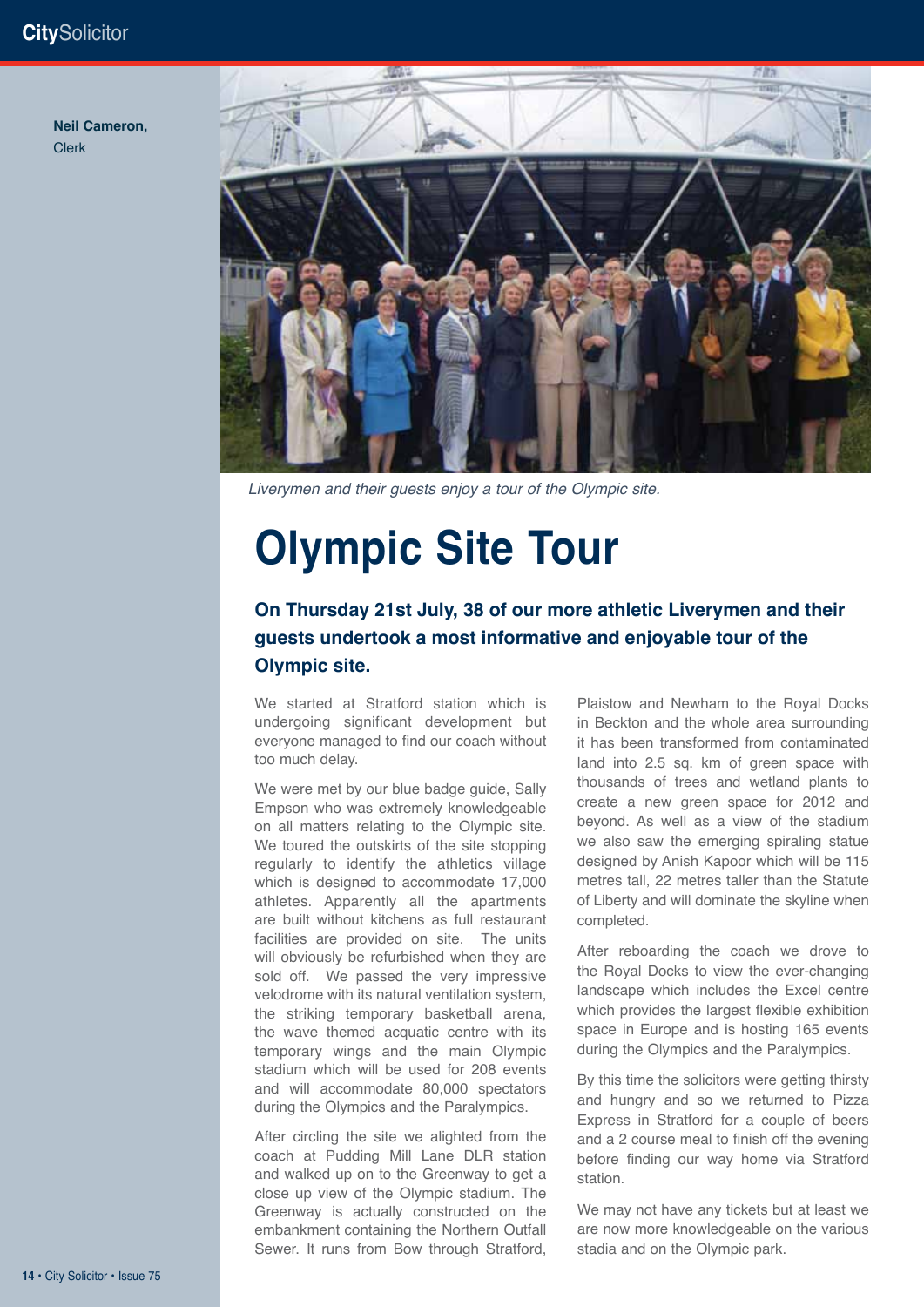#### **City**Solicitor

#### **Neil Cameron,**  Clerk



*Liverymen and their guests enjoy a tour of the Olympic site.*

# **Olympic Site Tour**

#### **On Thursday 21st July, 38 of our more athletic Liverymen and their guests undertook a most informative and enjoyable tour of the Olympic site.**

We started at Stratford station which is undergoing significant development but everyone managed to find our coach without too much delay.

We were met by our blue badge guide, Sally Empson who was extremely knowledgeable on all matters relating to the Olympic site. We toured the outskirts of the site stopping regularly to identify the athletics village which is designed to accommodate 17,000 athletes. Apparently all the apartments are built without kitchens as full restaurant facilities are provided on site. The units will obviously be refurbished when they are sold off. We passed the very impressive velodrome with its natural ventilation system, the striking temporary basketball arena, the wave themed acquatic centre with its temporary wings and the main Olympic stadium which will be used for 208 events and will accommodate 80,000 spectators during the Olympics and the Paralympics.

After circling the site we alighted from the coach at Pudding Mill Lane DLR station and walked up on to the Greenway to get a close up view of the Olympic stadium. The Greenway is actually constructed on the embankment containing the Northern Outfall Sewer. It runs from Bow through Stratford,

Plaistow and Newham to the Royal Docks in Beckton and the whole area surrounding it has been transformed from contaminated land into 2.5 sq. km of green space with thousands of trees and wetland plants to create a new green space for 2012 and beyond. As well as a view of the stadium we also saw the emerging spiraling statue designed by Anish Kapoor which will be 115 metres tall, 22 metres taller than the Statute of Liberty and will dominate the skyline when completed.

After reboarding the coach we drove to the Royal Docks to view the ever-changing landscape which includes the Excel centre which provides the largest flexible exhibition space in Europe and is hosting 165 events during the Olympics and the Paralympics.

By this time the solicitors were getting thirsty and hungry and so we returned to Pizza Express in Stratford for a couple of beers and a 2 course meal to finish off the evening before finding our way home via Stratford station.

We may not have any tickets but at least we are now more knowledgeable on the various stadia and on the Olympic park.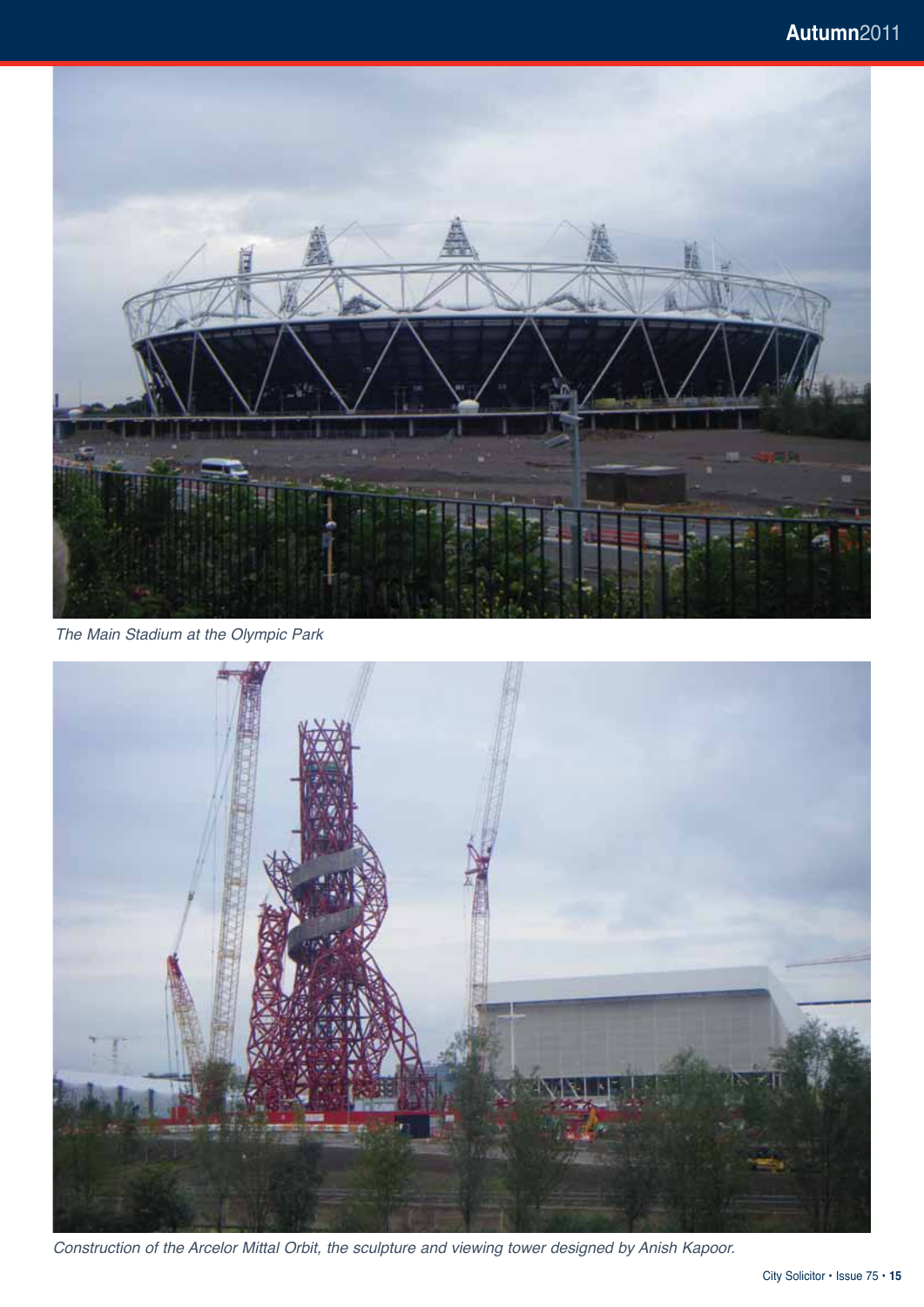

*The Main Stadium at the Olympic Park*

![](_page_14_Picture_3.jpeg)

*Construction of the Arcelor Mittal Orbit, the sculpture and viewing tower designed by Anish Kapoor.*